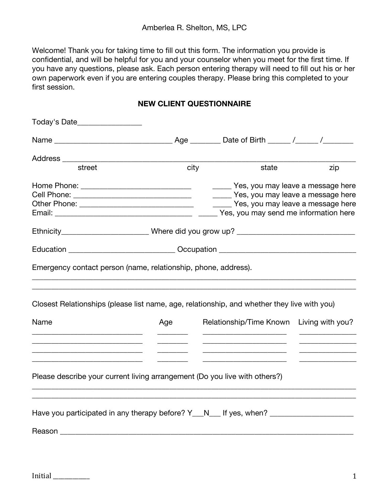Welcome! Thank you for taking time to fill out this form. The information you provide is confidential, and will be helpful for you and your counselor when you meet for the first time. If you have any questions, please ask. Each person entering therapy will need to fill out his or her own paperwork even if you are entering couples therapy. Please bring this completed to your first session.

### **NEW CLIENT QUESTIONNAIRE**

| Today's Date_________________                                                                                                                                                                                                  |      |                                       |                  |
|--------------------------------------------------------------------------------------------------------------------------------------------------------------------------------------------------------------------------------|------|---------------------------------------|------------------|
|                                                                                                                                                                                                                                |      |                                       |                  |
| Address _______                                                                                                                                                                                                                |      |                                       |                  |
| street                                                                                                                                                                                                                         | city | state                                 | zip              |
| Home Phone: _______________________________                                                                                                                                                                                    |      | Yes, you may leave a message here     |                  |
|                                                                                                                                                                                                                                |      | Yes, you may leave a message here     |                  |
|                                                                                                                                                                                                                                |      | Yes, you may leave a message here     |                  |
|                                                                                                                                                                                                                                |      | Yes, you may send me information here |                  |
| Ethnicity__________________________Where did you grow up? _______________________                                                                                                                                              |      |                                       |                  |
| Education ______________________________Occupation _____________________________                                                                                                                                               |      |                                       |                  |
| Emergency contact person (name, relationship, phone, address).                                                                                                                                                                 |      |                                       |                  |
| Closest Relationships (please list name, age, relationship, and whether they live with you)                                                                                                                                    |      |                                       |                  |
| Name                                                                                                                                                                                                                           | Age  | Relationship/Time Known               | Living with you? |
| Please describe your current living arrangement (Do you live with others?)                                                                                                                                                     |      |                                       |                  |
|                                                                                                                                                                                                                                |      |                                       |                  |
| Have you participated in any therapy before? Y__N___ If yes, when? ____________________                                                                                                                                        |      |                                       |                  |
| Reason Network and the state of the state of the state of the state of the state of the state of the state of the state of the state of the state of the state of the state of the state of the state of the state of the stat |      |                                       |                  |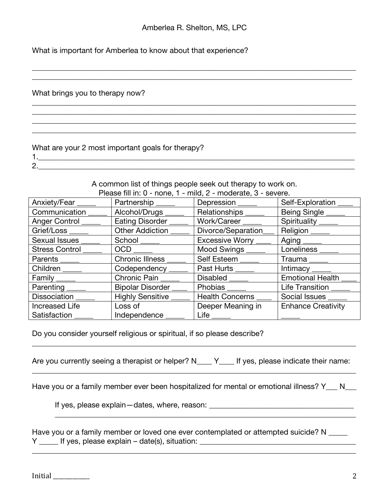\_\_\_\_\_\_\_\_\_\_\_\_\_\_\_\_\_\_\_\_\_\_\_\_\_\_\_\_\_\_\_\_\_\_\_\_\_\_\_\_\_\_\_\_\_\_\_\_\_\_\_\_\_\_\_\_\_\_\_\_\_\_\_\_\_\_\_\_\_\_\_\_\_\_\_\_\_\_\_\_\_\_\_\_\_ \_\_\_\_\_\_\_\_\_\_\_\_\_\_\_\_\_\_\_\_\_\_\_\_\_\_\_\_\_\_\_\_\_\_\_\_\_\_\_\_\_\_\_\_\_\_\_\_\_\_\_\_\_\_\_\_\_\_\_\_\_\_\_\_\_\_\_\_\_\_\_\_\_\_\_\_\_\_\_\_\_\_\_\_

\_\_\_\_\_\_\_\_\_\_\_\_\_\_\_\_\_\_\_\_\_\_\_\_\_\_\_\_\_\_\_\_\_\_\_\_\_\_\_\_\_\_\_\_\_\_\_\_\_\_\_\_\_\_\_\_\_\_\_\_\_\_\_\_\_\_\_\_\_\_\_\_\_\_\_\_\_\_\_\_\_\_\_\_\_

\_\_\_\_\_\_\_\_\_\_\_\_\_\_\_\_\_\_\_\_\_\_\_\_\_\_\_\_\_\_\_\_\_\_\_\_\_\_\_\_\_\_\_\_\_\_\_\_\_\_\_\_\_\_\_\_\_\_\_\_\_\_\_\_\_\_\_\_\_\_\_\_\_\_\_\_\_\_\_\_\_\_\_\_\_

What is important for Amberlea to know about that experience?

 $\mathcal{L}_\mathcal{L} = \{ \mathcal{L}_\mathcal{L} = \{ \mathcal{L}_\mathcal{L} = \{ \mathcal{L}_\mathcal{L} = \{ \mathcal{L}_\mathcal{L} = \{ \mathcal{L}_\mathcal{L} = \{ \mathcal{L}_\mathcal{L} = \{ \mathcal{L}_\mathcal{L} = \{ \mathcal{L}_\mathcal{L} = \{ \mathcal{L}_\mathcal{L} = \{ \mathcal{L}_\mathcal{L} = \{ \mathcal{L}_\mathcal{L} = \{ \mathcal{L}_\mathcal{L} = \{ \mathcal{L}_\mathcal{L} = \{ \mathcal{L}_\mathcal{$ 

What brings you to therapy now?

#### What are your 2 most important goals for therapy?

1.\_\_\_\_\_\_\_\_\_\_\_\_\_\_\_\_\_\_\_\_\_\_\_\_\_\_\_\_\_\_\_\_\_\_\_\_\_\_\_\_\_\_\_\_\_\_\_\_\_\_\_\_\_\_\_\_\_\_\_\_\_\_\_\_\_\_\_\_\_\_\_\_\_\_\_\_\_\_\_\_\_\_\_ 2.

> A common list of things people seek out therapy to work on. Please fill in: 0 - none, 1 - mild, 2 - moderate, 3 - severe.

| Anxiety/Fear          | Partnership _____      | $\frac{1}{2}$ is the figure of $\frac{1}{2}$ in the contract $\frac{1}{2}$ is the contract of $\frac{1}{2}$ in the contract of $\frac{1}{2}$<br>Depression _____ | Self-Exploration          |
|-----------------------|------------------------|------------------------------------------------------------------------------------------------------------------------------------------------------------------|---------------------------|
| Communication         | Alcohol/Drugs          | Relationships ___                                                                                                                                                | Being Single              |
| Anger Control         | Eating Disorder        | Work/Career                                                                                                                                                      | Spirituality ____         |
| Grief/Loss ____       | Other Addiction _      | Divorce/Separation                                                                                                                                               | Religion ___              |
| Sexual Issues         | School _____           | Excessive Worry _                                                                                                                                                | Aging ______              |
| <b>Stress Control</b> | OCD                    | Mood Swings ___                                                                                                                                                  | Loneliness_               |
| Parents ______        | <b>Chronic Illness</b> | Self Esteem                                                                                                                                                      | Trauma                    |
| Children              | Codependency_          | Past Hurts                                                                                                                                                       | Intimacy                  |
| Family _____          | Chronic Pain           | Disabled                                                                                                                                                         | <b>Emotional Health</b>   |
| Parenting_            | Bipolar Disorder_      | Phobias ___                                                                                                                                                      | Life Transition           |
| Dissociation          | Highly Sensitive       | Health Concerns                                                                                                                                                  | Social Issues             |
| <b>Increased Life</b> | Loss of                | Deeper Meaning in                                                                                                                                                | <b>Enhance Creativity</b> |
| Satisfaction          | Independence           | Life $\overline{\phantom{a}}$                                                                                                                                    |                           |

Do you consider yourself religious or spiritual, if so please describe?

Are you currently seeing a therapist or helper? N\_\_\_\_ Y\_\_\_\_ If yes, please indicate their name: \_\_\_\_\_\_\_\_\_\_\_\_\_\_\_\_\_\_\_\_\_\_\_\_\_\_\_\_\_\_\_\_\_\_\_\_\_\_\_\_\_\_\_\_\_\_\_\_\_\_\_\_\_\_\_\_\_\_\_\_\_\_\_\_\_\_\_\_\_\_\_\_\_\_\_\_\_\_\_\_\_\_\_\_\_

\_\_\_\_\_\_\_\_\_\_\_\_\_\_\_\_\_\_\_\_\_\_\_\_\_\_\_\_\_\_\_\_\_\_\_\_\_\_\_\_\_\_\_\_\_\_\_\_\_\_\_\_\_\_\_\_\_\_\_\_\_\_\_\_\_\_\_\_\_\_\_\_\_\_\_\_\_\_\_\_\_\_\_\_\_

Have you or a family member ever been hospitalized for mental or emotional illness? Y\_\_\_ N\_\_\_

\_\_\_\_\_\_\_\_\_\_\_\_\_\_\_\_\_\_\_\_\_\_\_\_\_\_\_\_\_\_\_\_\_\_\_\_\_\_\_\_\_\_\_\_\_\_\_\_\_\_\_\_\_\_\_\_\_\_\_\_\_\_\_\_\_\_\_\_\_\_\_\_\_\_\_\_\_\_\_

If yes, please explain—dates, where, reason: \_\_\_\_\_\_\_\_\_\_\_\_\_\_\_\_\_\_\_\_\_\_\_\_\_\_\_\_\_\_\_\_\_\_\_

| Have you or a family member or loved one ever contemplated or attempted suicide? N |  |
|------------------------------------------------------------------------------------|--|
| If yes, please explain – date(s), situation:                                       |  |

\_\_\_\_\_\_\_\_\_\_\_\_\_\_\_\_\_\_\_\_\_\_\_\_\_\_\_\_\_\_\_\_\_\_\_\_\_\_\_\_\_\_\_\_\_\_\_\_\_\_\_\_\_\_\_\_\_\_\_\_\_\_\_\_\_\_\_\_\_\_\_\_\_\_\_\_\_\_\_\_\_\_\_\_\_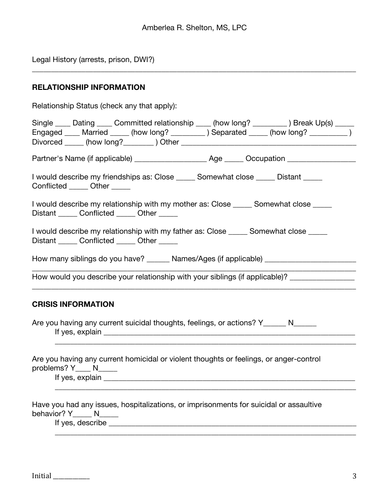\_\_\_\_\_\_\_\_\_\_\_\_\_\_\_\_\_\_\_\_\_\_\_\_\_\_\_\_\_\_\_\_\_\_\_\_\_\_\_\_\_\_\_\_\_\_\_\_\_\_\_\_\_\_\_\_\_\_\_\_\_\_\_\_\_\_\_\_\_\_\_\_\_\_\_\_\_\_\_\_\_\_\_\_\_

Legal History (arrests, prison, DWI?)

# **RELATIONSHIP INFORMATION**

| Relationship Status (check any that apply):                                                                                                                                                                                    |
|--------------------------------------------------------------------------------------------------------------------------------------------------------------------------------------------------------------------------------|
| Single ____ Dating ____ Committed relationship ____ (how long? _________ ) Break Up(s) _____<br>Engaged ____ Married _____ (how long? _________ ) Separated _____ (how long? _________ )                                       |
|                                                                                                                                                                                                                                |
| I would describe my friendships as: Close ______ Somewhat close _____ Distant _____<br>Conflicted ______ Other _____                                                                                                           |
| I would describe my relationship with my mother as: Close _____ Somewhat close ____<br>Distant ______ Conflicted ______ Other _____                                                                                            |
| I would describe my relationship with my father as: Close ______ Somewhat close _____<br>Distant ______ Conflicted ______ Other _____                                                                                          |
|                                                                                                                                                                                                                                |
| How would you describe your relationship with your siblings (if applicable)? _______________                                                                                                                                   |
| <b>CRISIS INFORMATION</b>                                                                                                                                                                                                      |
| Are you having any current suicidal thoughts, feelings, or actions? Y______ N_____                                                                                                                                             |
| If yes, explain example and the state of the state of the state of the state of the state of the state of the state of the state of the state of the state of the state of the state of the state of the state of the state of |
| Have you had any issues, hospitalizations, or imprisonments for suicidal or assaultive<br>behavior? Y N                                                                                                                        |
| Are you having any current homicidal or violent thoughts or feelings, or anger-control<br>problems? $Y_{\_\_\_\_} N_{\_\_\_\_\_}$                                                                                              |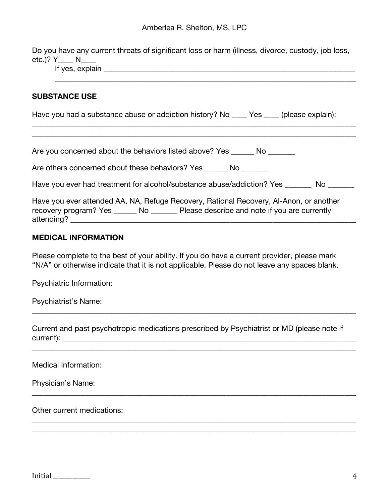Do you have any current threats of significant loss or harm (illness, divorce, custody, job loss, etc.)? Y\_\_\_\_ N\_\_\_\_

\_\_\_\_\_\_\_\_\_\_\_\_\_\_\_\_\_\_\_\_\_\_\_\_\_\_\_\_\_\_\_\_\_\_\_\_\_\_\_\_\_\_\_\_\_\_\_\_\_\_\_\_\_\_\_\_\_\_\_\_\_\_\_\_\_\_\_\_\_\_\_\_\_\_\_\_\_\_\_

If yes, explain \_\_\_\_\_\_\_\_\_\_\_\_\_\_\_\_\_\_\_\_\_\_\_\_\_\_\_\_\_\_\_\_\_\_\_\_\_\_\_\_\_\_\_\_\_\_\_\_\_\_\_\_\_\_\_\_\_\_\_\_\_\_\_\_\_\_

### **SUBSTANCE USE**

Have you had a substance abuse or addiction history? No \_\_\_\_ Yes \_\_\_\_ (please explain):

\_\_\_\_\_\_\_\_\_\_\_\_\_\_\_\_\_\_\_\_\_\_\_\_\_\_\_\_\_\_\_\_\_\_\_\_\_\_\_\_\_\_\_\_\_\_\_\_\_\_\_\_\_\_\_\_\_\_\_\_\_\_\_\_\_\_\_\_\_\_\_\_\_\_\_\_\_\_\_\_\_\_\_\_\_ \_\_\_\_\_\_\_\_\_\_\_\_\_\_\_\_\_\_\_\_\_\_\_\_\_\_\_\_\_\_\_\_\_\_\_\_\_\_\_\_\_\_\_\_\_\_\_\_\_\_\_\_\_\_\_\_\_\_\_\_\_\_\_\_\_\_\_\_\_\_\_\_\_\_\_\_\_\_\_\_\_\_\_\_\_

Are you concerned about the behaviors listed above? Yes \_\_\_\_\_\_ No \_\_\_\_\_\_\_

Are others concerned about these behaviors? Yes \_\_\_\_\_\_ No \_\_\_\_\_\_

Have you ever had treatment for alcohol/substance abuse/addiction? Yes \_\_\_\_\_\_\_\_ No \_\_\_\_\_\_\_

|                       |     | Have you ever attended AA, NA, Refuge Recovery, Rational Recovery, Al-Anon, or another |
|-----------------------|-----|----------------------------------------------------------------------------------------|
| recovery program? Yes | No. | Please describe and note if you are currently                                          |
| attending?            |     |                                                                                        |

#### **MEDICAL INFORMATION**

Please complete to the best of your ability. If you do have a current provider, please mark "N/A" or otherwise indicate that it is not applicable. Please do not leave any spaces blank.

Psychiatric Information:

Psychiatrist's Name:

Current and past psychotropic medications prescribed by Psychiatrist or MD (please note if current): \_\_\_\_\_\_\_\_\_\_\_\_\_\_\_\_\_\_\_\_\_\_\_\_\_\_\_\_\_\_\_\_\_\_\_\_\_\_\_\_\_\_\_\_\_\_\_\_\_\_\_\_\_\_\_\_\_\_\_\_\_\_\_\_\_\_\_\_\_\_\_\_\_\_\_\_\_

\_\_\_\_\_\_\_\_\_\_\_\_\_\_\_\_\_\_\_\_\_\_\_\_\_\_\_\_\_\_\_\_\_\_\_\_\_\_\_\_\_\_\_\_\_\_\_\_\_\_\_\_\_\_\_\_\_\_\_\_\_\_\_\_\_\_\_\_\_\_\_\_\_\_\_\_\_\_\_\_\_\_\_\_\_

\_\_\_\_\_\_\_\_\_\_\_\_\_\_\_\_\_\_\_\_\_\_\_\_\_\_\_\_\_\_\_\_\_\_\_\_\_\_\_\_\_\_\_\_\_\_\_\_\_\_\_\_\_\_\_\_\_\_\_\_\_\_\_\_\_\_\_\_\_\_\_\_\_\_\_\_\_\_\_\_\_\_\_\_\_

\_\_\_\_\_\_\_\_\_\_\_\_\_\_\_\_\_\_\_\_\_\_\_\_\_\_\_\_\_\_\_\_\_\_\_\_\_\_\_\_\_\_\_\_\_\_\_\_\_\_\_\_\_\_\_\_\_\_\_\_\_\_\_\_\_\_\_\_\_\_\_\_\_\_\_\_\_\_\_\_\_\_\_\_\_ \_\_\_\_\_\_\_\_\_\_\_\_\_\_\_\_\_\_\_\_\_\_\_\_\_\_\_\_\_\_\_\_\_\_\_\_\_\_\_\_\_\_\_\_\_\_\_\_\_\_\_\_\_\_\_\_\_\_\_\_\_\_\_\_\_\_\_\_\_\_\_\_\_\_\_\_\_\_\_\_\_\_\_\_\_

Medical Information:

Physician's Name:

Other current medications: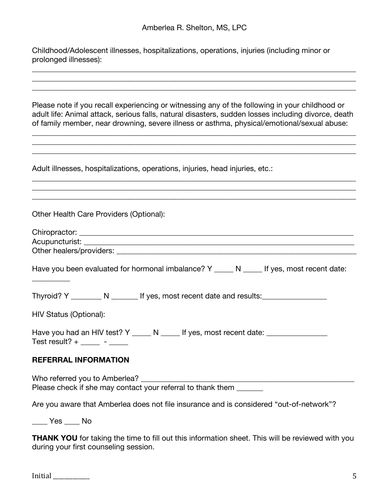\_\_\_\_\_\_\_\_\_\_\_\_\_\_\_\_\_\_\_\_\_\_\_\_\_\_\_\_\_\_\_\_\_\_\_\_\_\_\_\_\_\_\_\_\_\_\_\_\_\_\_\_\_\_\_\_\_\_\_\_\_\_\_\_\_\_\_\_\_\_\_\_\_\_\_\_\_\_\_\_\_\_\_\_\_

Childhood/Adolescent illnesses, hospitalizations, operations, injuries (including minor or prolonged illnesses):

| Please note if you recall experiencing or witnessing any of the following in your childhood or<br>adult life: Animal attack, serious falls, natural disasters, sudden losses including divorce, death<br>of family member, near drowning, severe illness or asthma, physical/emotional/sexual abuse: |
|------------------------------------------------------------------------------------------------------------------------------------------------------------------------------------------------------------------------------------------------------------------------------------------------------|
| ,我们也不能在这里的时候,我们也不能在这里的时候,我们也不能会在这里的时候,我们也不能会在这里的时候,我们也不能会在这里的时候,我们也不能会在这里的时候,我们也不                                                                                                                                                                                                                    |
| Adult illnesses, hospitalizations, operations, injuries, head injuries, etc.:                                                                                                                                                                                                                        |
|                                                                                                                                                                                                                                                                                                      |
| Other Health Care Providers (Optional):                                                                                                                                                                                                                                                              |
|                                                                                                                                                                                                                                                                                                      |
|                                                                                                                                                                                                                                                                                                      |
|                                                                                                                                                                                                                                                                                                      |
| Have you been evaluated for hormonal imbalance? Y _____ N _____ If yes, most recent date:                                                                                                                                                                                                            |
| Thyroid? Y _________ N _______ If yes, most recent date and results:_____________                                                                                                                                                                                                                    |
| HIV Status (Optional):                                                                                                                                                                                                                                                                               |
| Have you had an HIV test? Y _____ N _____ If yes, most recent date: ____________<br>Test result? + _____ - ____                                                                                                                                                                                      |
| <b>REFERRAL INFORMATION</b>                                                                                                                                                                                                                                                                          |
| Who referred you to Amberlea?<br>the control of the control of the control of<br>Please check if she may contact your referral to thank them                                                                                                                                                         |
| Are you aware that Amberlea does not file insurance and is considered "out-of-network"?                                                                                                                                                                                                              |

\_\_\_\_ Yes \_\_\_\_ No

**THANK YOU** for taking the time to fill out this information sheet. This will be reviewed with you during your first counseling session.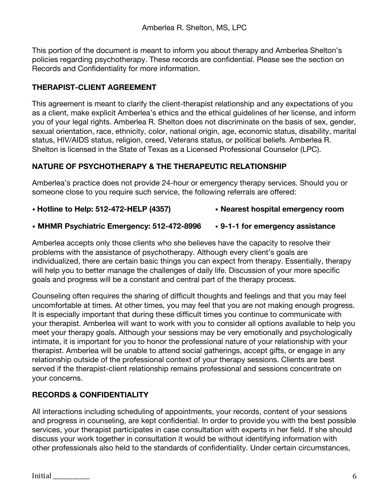This portion of the document is meant to inform you about therapy and Amberlea Shelton's policies regarding psychotherapy. These records are confidential. Please see the section on Records and Confidentiality for more information.

# **THERAPIST-CLIENT AGREEMENT**

This agreement is meant to clarify the client-therapist relationship and any expectations of you as a client, make explicit Amberlea's ethics and the ethical guidelines of her license, and inform you of your legal rights. Amberlea R. Shelton does not discriminate on the basis of sex, gender, sexual orientation, race, ethnicity, color, national origin, age, economic status, disability, marital status, HIV/AIDS status, religion, creed, Veterans status, or political beliefs. Amberlea R. Shelton is licensed in the State of Texas as a Licensed Professional Counselor (LPC).

# **NATURE OF PSYCHOTHERAPY & THE THERAPEUTIC RELATIONSHIP**

Amberlea's practice does not provide 24-hour or emergency therapy services. Should you or someone close to you require such service, the following referrals are offered:

- **Hotline to Help: 512-472-HELP (4357) Nearest hospital emergency room**
- **MHMR Psychiatric Emergency: 512-472-8996 9-1-1 for emergency assistance**

Amberlea accepts only those clients who she believes have the capacity to resolve their problems with the assistance of psychotherapy. Although every client's goals are individualized, there are certain basic things you can expect from therapy. Essentially, therapy will help you to better manage the challenges of daily life. Discussion of your more specific goals and progress will be a constant and central part of the therapy process.

Counseling often requires the sharing of difficult thoughts and feelings and that you may feel uncomfortable at times. At other times, you may feel that you are not making enough progress. It is especially important that during these difficult times you continue to communicate with your therapist. Amberlea will want to work with you to consider all options available to help you meet your therapy goals. Although your sessions may be very emotionally and psychologically intimate, it is important for you to honor the professional nature of your relationship with your therapist. Amberlea will be unable to attend social gatherings, accept gifts, or engage in any relationship outside of the professional context of your therapy sessions. Clients are best served if the therapist-client relationship remains professional and sessions concentrate on your concerns.

# **RECORDS & CONFIDENTIALITY**

All interactions including scheduling of appointments, your records, content of your sessions and progress in counseling, are kept confidential. In order to provide you with the best possible services, your therapist participates in case consultation with experts in her field. If she should discuss your work together in consultation it would be without identifying information with other professionals also held to the standards of confidentiality. Under certain circumstances,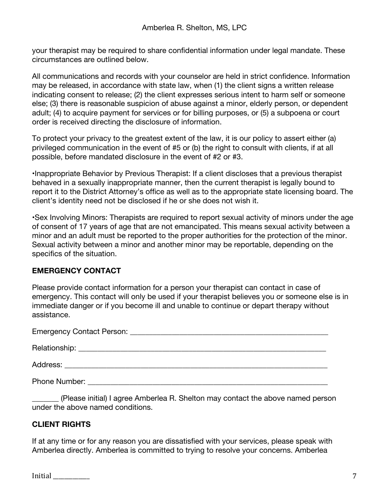your therapist may be required to share confidential information under legal mandate. These circumstances are outlined below.

All communications and records with your counselor are held in strict confidence. Information may be released, in accordance with state law, when (1) the client signs a written release indicating consent to release; (2) the client expresses serious intent to harm self or someone else; (3) there is reasonable suspicion of abuse against a minor, elderly person, or dependent adult; (4) to acquire payment for services or for billing purposes, or (5) a subpoena or court order is received directing the disclosure of information.

To protect your privacy to the greatest extent of the law, it is our policy to assert either (a) privileged communication in the event of #5 or (b) the right to consult with clients, if at all possible, before mandated disclosure in the event of #2 or #3.

•Inappropriate Behavior by Previous Therapist: If a client discloses that a previous therapist behaved in a sexually inappropriate manner, then the current therapist is legally bound to report it to the District Attorney's office as well as to the appropriate state licensing board. The client's identity need not be disclosed if he or she does not wish it.

•Sex Involving Minors: Therapists are required to report sexual activity of minors under the age of consent of 17 years of age that are not emancipated. This means sexual activity between a minor and an adult must be reported to the proper authorities for the protection of the minor. Sexual activity between a minor and another minor may be reportable, depending on the specifics of the situation.

## **EMERGENCY CONTACT**

Please provide contact information for a person your therapist can contact in case of emergency. This contact will only be used if your therapist believes you or someone else is in immediate danger or if you become ill and unable to continue or depart therapy without assistance.

| <b>Phone Number:</b> |
|----------------------|

\_\_\_\_\_\_\_ (Please initial) I agree Amberlea R. Shelton may contact the above named person under the above named conditions.

# **CLIENT RIGHTS**

If at any time or for any reason you are dissatisfied with your services, please speak with Amberlea directly. Amberlea is committed to trying to resolve your concerns. Amberlea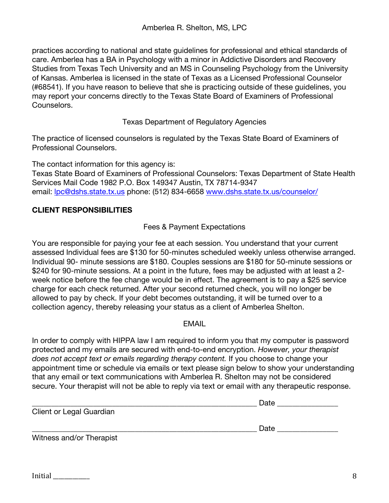practices according to national and state guidelines for professional and ethical standards of care. Amberlea has a BA in Psychology with a minor in Addictive Disorders and Recovery Studies from Texas Tech University and an MS in Counseling Psychology from the University of Kansas. Amberlea is licensed in the state of Texas as a Licensed Professional Counselor (#68541). If you have reason to believe that she is practicing outside of these guidelines, you may report your concerns directly to the Texas State Board of Examiners of Professional Counselors.

## Texas Department of Regulatory Agencies

The practice of licensed counselors is regulated by the Texas State Board of Examiners of Professional Counselors.

The contact information for this agency is: Texas State Board of Examiners of Professional Counselors: Texas Department of State Health Services Mail Code 1982 P.O. Box 149347 Austin, TX 78714-9347 email: lpc@dshs.state.tx.us phone: (512) 834-6658 www.dshs.state.tx.us/counselor/

# **CLIENT RESPONSIBILITIES**

# Fees & Payment Expectations

You are responsible for paying your fee at each session. You understand that your current assessed Individual fees are \$130 for 50-minutes scheduled weekly unless otherwise arranged. Individual 90- minute sessions are \$180. Couples sessions are \$180 for 50-minute sessions or \$240 for 90-minute sessions. At a point in the future, fees may be adjusted with at least a 2week notice before the fee change would be in effect. The agreement is to pay a \$25 service charge for each check returned. After your second returned check, you will no longer be allowed to pay by check. If your debt becomes outstanding, it will be turned over to a collection agency, thereby releasing your status as a client of Amberlea Shelton.

## EMAIL

In order to comply with HIPPA law I am required to inform you that my computer is password protected and my emails are secured with end-to-end encryption. *However, your therapist does not accept text or emails regarding therapy content.* If you choose to change your appointment time or schedule via emails or text please sign below to show your understanding that any email or text communications with Amberlea R. Shelton may not be considered secure. Your therapist will not be able to reply via text or email with any therapeutic response.

|                          | Date |
|--------------------------|------|
| Client or Legal Guardian |      |
|                          | Date |
| Witness and/or Therapist |      |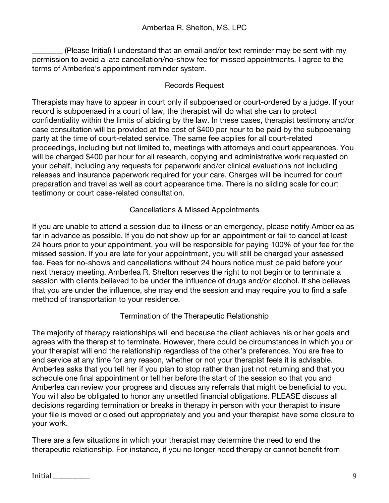\_\_\_\_\_\_\_\_ (Please Initial) I understand that an email and/or text reminder may be sent with my permission to avoid a late cancellation/no-show fee for missed appointments. I agree to the terms of Amberlea's appointment reminder system.

## Records Request

Therapists may have to appear in court only if subpoenaed or court-ordered by a judge. If your record is subpoenaed in a court of law, the therapist will do what she can to protect confidentiality within the limits of abiding by the law. In these cases, therapist testimony and/or case consultation will be provided at the cost of \$400 per hour to be paid by the subpoenaing party at the time of court-related service. The same fee applies for all court-related proceedings, including but not limited to, meetings with attorneys and court appearances. You will be charged \$400 per hour for all research, copying and administrative work requested on your behalf, including any requests for paperwork and/or clinical evaluations not including releases and insurance paperwork required for your care. Charges will be incurred for court preparation and travel as well as court appearance time. There is no sliding scale for court testimony or court case-related consultation.

## Cancellations & Missed Appointments

If you are unable to attend a session due to illness or an emergency, please notify Amberlea as far in advance as possible. If you do not show up for an appointment or fail to cancel at least 24 hours prior to your appointment, you will be responsible for paying 100% of your fee for the missed session. If you are late for your appointment, you will still be charged your assessed fee. Fees for no-shows and cancellations without 24 hours notice must be paid before your next therapy meeting. Amberlea R. Shelton reserves the right to not begin or to terminate a session with clients believed to be under the influence of drugs and/or alcohol. If she believes that you are under the influence, she may end the session and may require you to find a safe method of transportation to your residence.

## Termination of the Therapeutic Relationship

The majority of therapy relationships will end because the client achieves his or her goals and agrees with the therapist to terminate. However, there could be circumstances in which you or your therapist will end the relationship regardless of the other's preferences. You are free to end service at any time for any reason, whether or not your therapist feels it is advisable. Amberlea asks that you tell her if you plan to stop rather than just not returning and that you schedule one final appointment or tell her before the start of the session so that you and Amberlea can review your progress and discuss any referrals that might be beneficial to you. You will also be obligated to honor any unsettled financial obligations. PLEASE discuss all decisions regarding termination or breaks in therapy in person with your therapist to insure your file is moved or closed out appropriately and you and your therapist have some closure to your work.

There are a few situations in which your therapist may determine the need to end the therapeutic relationship. For instance, if you no longer need therapy or cannot benefit from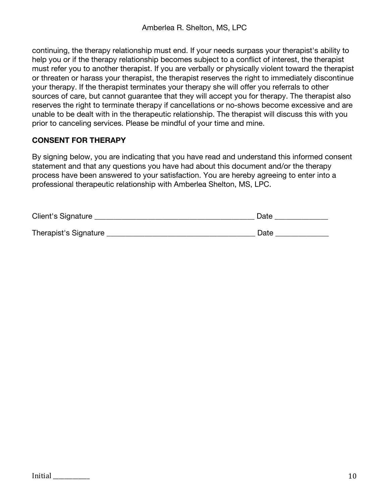continuing, the therapy relationship must end. If your needs surpass your therapist's ability to help you or if the therapy relationship becomes subject to a conflict of interest, the therapist must refer you to another therapist. If you are verbally or physically violent toward the therapist or threaten or harass your therapist, the therapist reserves the right to immediately discontinue your therapy. If the therapist terminates your therapy she will offer you referrals to other sources of care, but cannot guarantee that they will accept you for therapy. The therapist also reserves the right to terminate therapy if cancellations or no-shows become excessive and are unable to be dealt with in the therapeutic relationship. The therapist will discuss this with you prior to canceling services. Please be mindful of your time and mine.

## **CONSENT FOR THERAPY**

By signing below, you are indicating that you have read and understand this informed consent statement and that any questions you have had about this document and/or the therapy process have been answered to your satisfaction. You are hereby agreeing to enter into a professional therapeutic relationship with Amberlea Shelton, MS, LPC.

| Client's Signature    | Date |
|-----------------------|------|
| Therapist's Signature | Date |